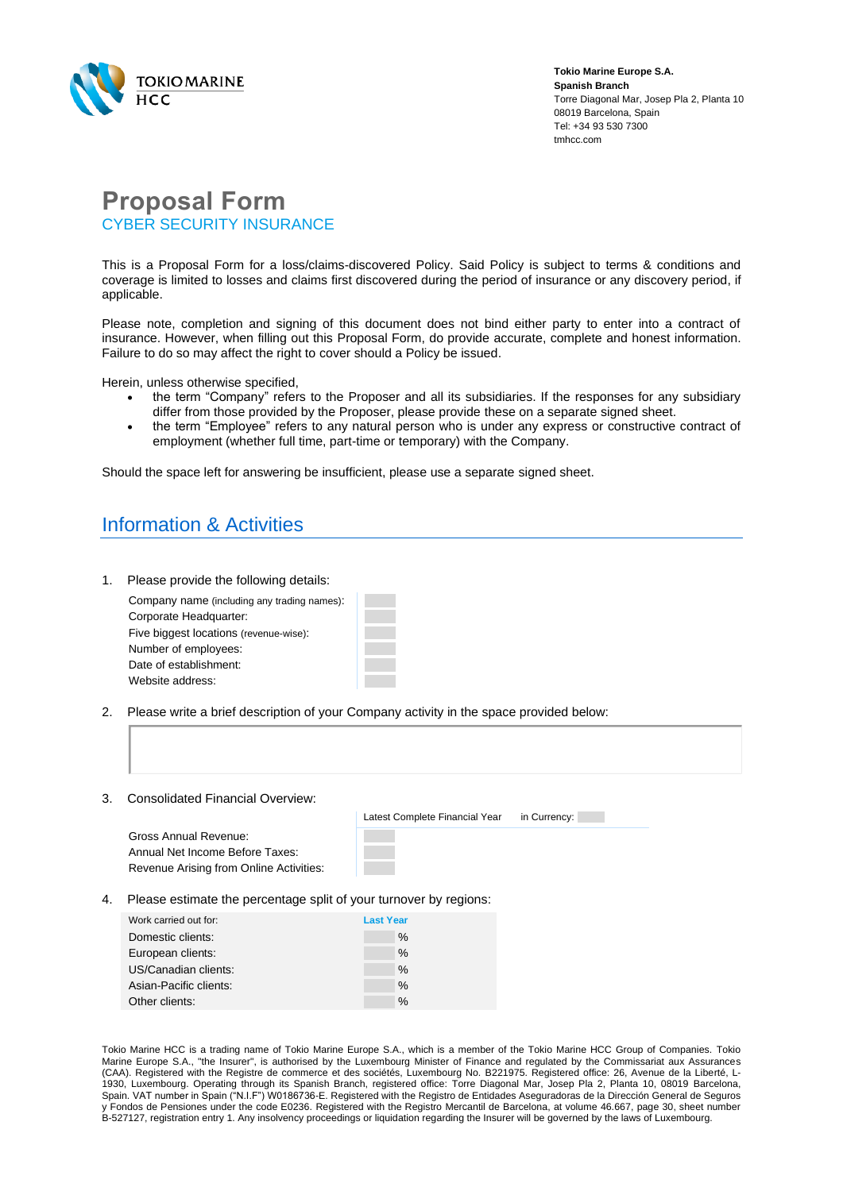

**Tokio Marine Europe S.A. Spanish Branch** Torre Diagonal Mar, Josep Pla 2, Planta 10 08019 Barcelona, Spain Tel: +34 93 530 7300 tmhcc.com

## **Proposal Form** CYBER SECURITY INSURANCE

This is a Proposal Form for a loss/claims-discovered Policy. Said Policy is subject to terms & conditions and coverage is limited to losses and claims first discovered during the period of insurance or any discovery period, if applicable.

Please note, completion and signing of this document does not bind either party to enter into a contract of insurance. However, when filling out this Proposal Form, do provide accurate, complete and honest information. Failure to do so may affect the right to cover should a Policy be issued.

Herein, unless otherwise specified,

- the term "Company" refers to the Proposer and all its subsidiaries. If the responses for any subsidiary differ from those provided by the Proposer, please provide these on a separate signed sheet.
- the term "Employee" refers to any natural person who is under any express or constructive contract of employment (whether full time, part-time or temporary) with the Company.

Should the space left for answering be insufficient, please use a separate signed sheet.

# Information & Activities

1. Please provide the following details:

| Company name (including any trading names): |  |
|---------------------------------------------|--|
| Corporate Headquarter:                      |  |
| Five biggest locations (revenue-wise):      |  |
| Number of employees:                        |  |
| Date of establishment:                      |  |
| Website address:                            |  |

- 2. Please write a brief description of your Company activity in the space provided below:
- 3. Consolidated Financial Overview:

Gross Annual Revenue: Annual Net Income Before Taxes: Revenue Arising from Online Activities: Latest Complete Financial Year in Currency:

4. Please estimate the percentage split of your turnover by regions:

| Work carried out for:  | <b>Last Year</b> |
|------------------------|------------------|
| Domestic clients:      | $\%$             |
| European clients:      | $\%$             |
| US/Canadian clients:   | $\%$             |
| Asian-Pacific clients: | $\%$             |
| Other clients:         | $\frac{0}{0}$    |

Tokio Marine HCC is a trading name of Tokio Marine Europe S.A., which is a member of the Tokio Marine HCC Group of Companies. Tokio Marine Europe S.A., "the Insurer", is authorised by the Luxembourg Minister of Finance and regulated by the Commissariat aux Assurances (CAA). Registered with the Registre de commerce et des sociétés, Luxembourg No. B221975. Registered office: 26, Avenue de la Liberté, L-1930, Luxembourg. Operating through its Spanish Branch, registered office: Torre Diagonal Mar, Josep Pla 2, Planta 10, 08019 Barcelona, Spain. VAT number in Spain ("N.I.F") W0186736-E. Registered with the Registro de Entidades Aseguradoras de la Dirección General de Seguros y Fondos de Pensiones under the code E0236. Registered with the Registro Mercantil de Barcelona, at volume 46.667, page 30, sheet number B-527127, registration entry 1. Any insolvency proceedings or liquidation regarding the Insurer will be governed by the laws of Luxembourg.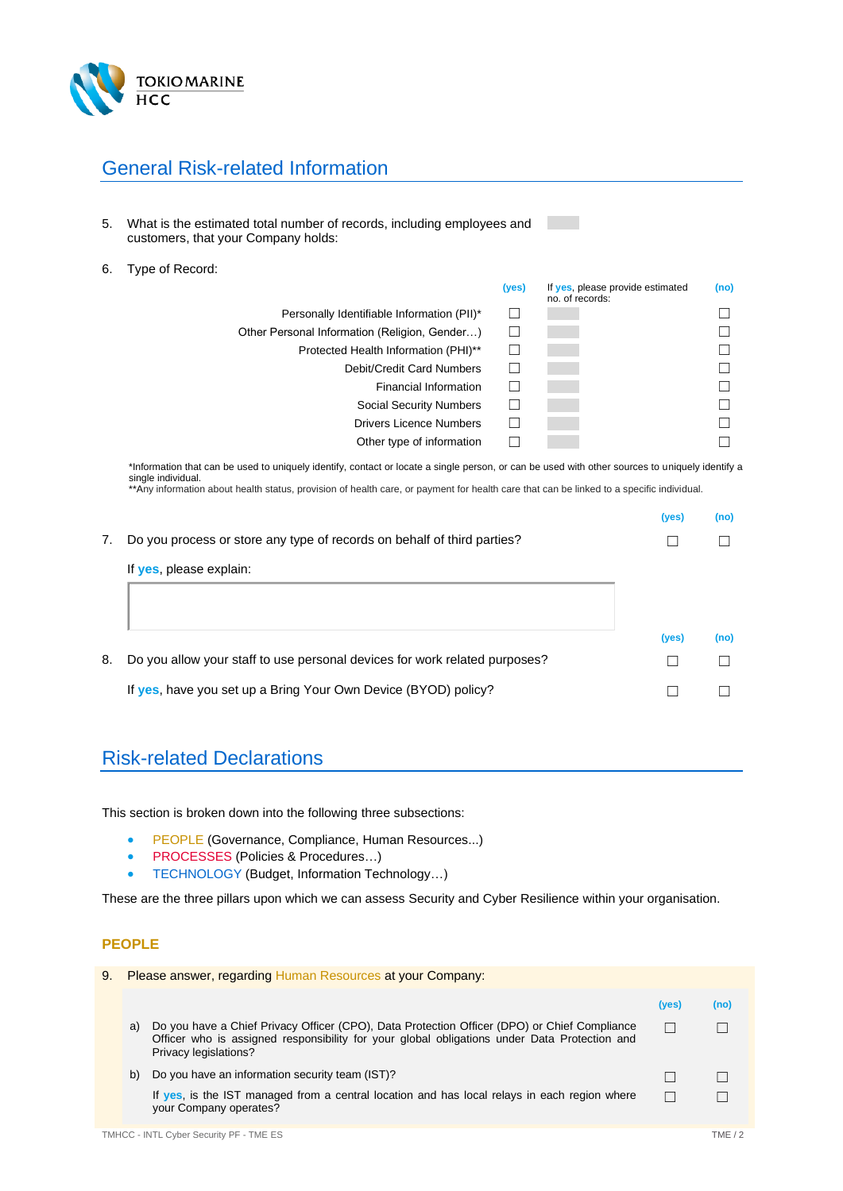

## General Risk-related Information

- 5. What is the estimated total number of records, including employees and customers, that your Company holds:
- 6. Type of Record:

|                                               | (yes) | If yes, please provide estimated<br>no. of records: | (no) |
|-----------------------------------------------|-------|-----------------------------------------------------|------|
| Personally Identifiable Information (PII)*    |       |                                                     |      |
| Other Personal Information (Religion, Gender) |       |                                                     |      |
| Protected Health Information (PHI)**          |       |                                                     |      |
| Debit/Credit Card Numbers                     |       |                                                     |      |
| Financial Information                         |       |                                                     |      |
| Social Security Numbers                       |       |                                                     |      |
| <b>Drivers Licence Numbers</b>                |       |                                                     |      |
| Other type of information                     |       |                                                     |      |

\*Information that can be used to uniquely identify, contact or locate a single person, or can be used with other sources to uniquely identify a single individual.

\*\*Any information about health status, provision of health care, or payment for health care that can be linked to a specific individual.

|    |                                                                            | (yes) | (no) |
|----|----------------------------------------------------------------------------|-------|------|
| 7. | Do you process or store any type of records on behalf of third parties?    |       |      |
|    | If yes, please explain:                                                    |       |      |
|    |                                                                            |       |      |
|    |                                                                            | (yes) | (no) |
| 8. | Do you allow your staff to use personal devices for work related purposes? |       |      |
|    | If yes, have you set up a Bring Your Own Device (BYOD) policy?             |       |      |
|    |                                                                            |       |      |

## Risk-related Declarations

This section is broken down into the following three subsections:

- PEOPLE (Governance, Compliance, Human Resources...)
- PROCESSES (Policies & Procedures...)
- TECHNOLOGY (Budget, Information Technology…)

These are the three pillars upon which we can assess Security and Cyber Resilience within your organisation.

#### **PEOPLE**

| 9. | Please answer, regarding Human Resources at your Company: |                                                                                                                                                                                                                       |       |      |
|----|-----------------------------------------------------------|-----------------------------------------------------------------------------------------------------------------------------------------------------------------------------------------------------------------------|-------|------|
|    |                                                           |                                                                                                                                                                                                                       | (yes) | (no) |
|    | a)                                                        | Do you have a Chief Privacy Officer (CPO), Data Protection Officer (DPO) or Chief Compliance<br>Officer who is assigned responsibility for your global obligations under Data Protection and<br>Privacy legislations? |       |      |
|    | b)                                                        | Do you have an information security team (IST)?                                                                                                                                                                       |       |      |
|    |                                                           | If yes, is the IST managed from a central location and has local relays in each region where<br>your Company operates?                                                                                                |       |      |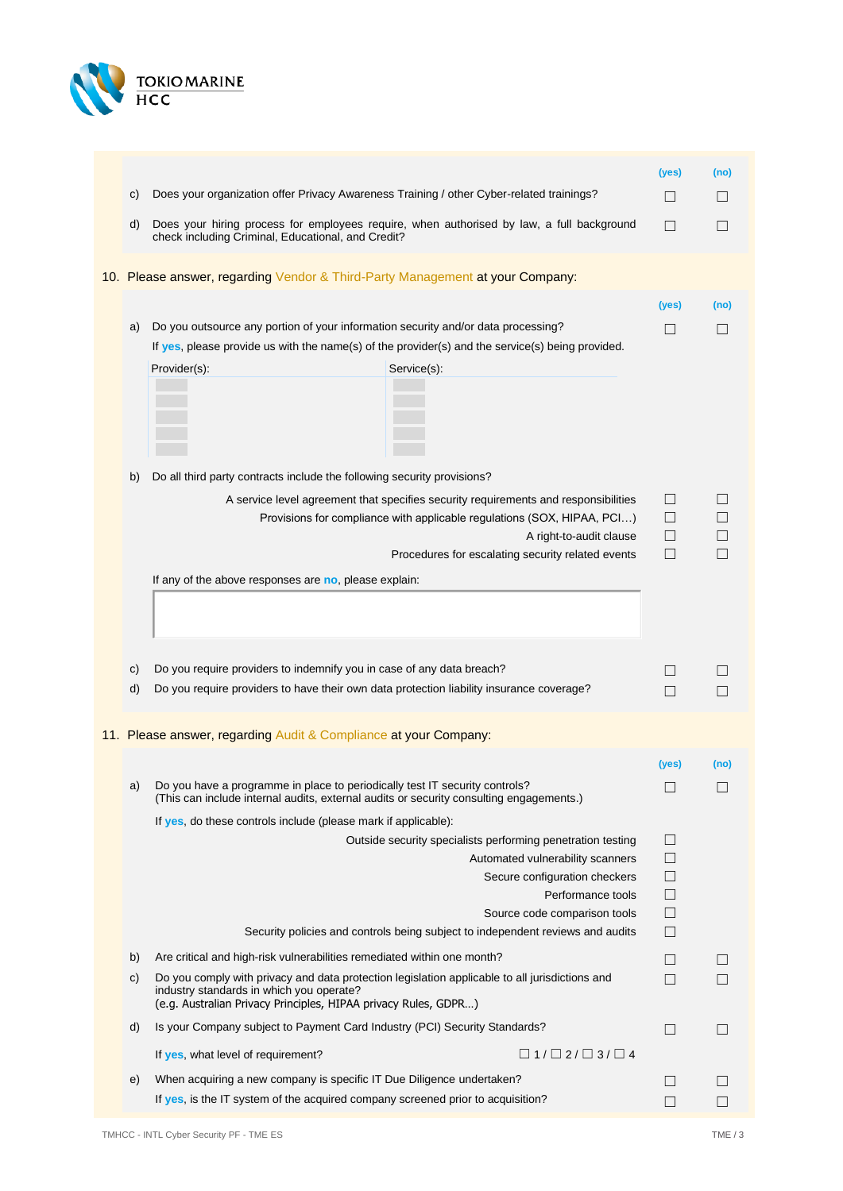

|    |                                                                                                                                                                                                               |                                                                                                                                                                                           | (yes)                           | (no) |
|----|---------------------------------------------------------------------------------------------------------------------------------------------------------------------------------------------------------------|-------------------------------------------------------------------------------------------------------------------------------------------------------------------------------------------|---------------------------------|------|
| C) | Does your organization offer Privacy Awareness Training / other Cyber-related trainings?                                                                                                                      |                                                                                                                                                                                           | $\Box$                          | ×.   |
| d) | check including Criminal, Educational, and Credit?                                                                                                                                                            | Does your hiring process for employees require, when authorised by law, a full background                                                                                                 | П                               | H    |
|    | 10. Please answer, regarding Vendor & Third-Party Management at your Company:                                                                                                                                 |                                                                                                                                                                                           |                                 |      |
|    |                                                                                                                                                                                                               |                                                                                                                                                                                           | (yes)                           | (no) |
| a) | Do you outsource any portion of your information security and/or data processing?                                                                                                                             |                                                                                                                                                                                           |                                 |      |
|    |                                                                                                                                                                                                               | If yes, please provide us with the name(s) of the provider(s) and the service(s) being provided.                                                                                          |                                 |      |
|    | Provider(s):                                                                                                                                                                                                  | Service(s):                                                                                                                                                                               |                                 |      |
| b) | Do all third party contracts include the following security provisions?                                                                                                                                       |                                                                                                                                                                                           |                                 |      |
|    |                                                                                                                                                                                                               | A service level agreement that specifies security requirements and responsibilities<br>Provisions for compliance with applicable regulations (SOX, HIPAA, PCI)<br>A right-to-audit clause | $\Box$<br>Ш<br>$\Box$           |      |
|    |                                                                                                                                                                                                               | Procedures for escalating security related events                                                                                                                                         | $\Box$                          |      |
|    | If any of the above responses are no, please explain:                                                                                                                                                         |                                                                                                                                                                                           |                                 |      |
| C) | Do you require providers to indemnify you in case of any data breach?                                                                                                                                         |                                                                                                                                                                                           | $\Box$                          |      |
| d) | Do you require providers to have their own data protection liability insurance coverage?                                                                                                                      |                                                                                                                                                                                           | $\mathsf{L}$                    |      |
|    | 11. Please answer, regarding Audit & Compliance at your Company:                                                                                                                                              |                                                                                                                                                                                           | (yes)                           | (no) |
| a) | Do you have a programme in place to periodically test IT security controls?<br>(This can include internal audits, external audits or security consulting engagements.)                                        |                                                                                                                                                                                           |                                 |      |
|    | If yes, do these controls include (please mark if applicable):                                                                                                                                                |                                                                                                                                                                                           |                                 |      |
|    |                                                                                                                                                                                                               | Outside security specialists performing penetration testing<br>Automated vulnerability scanners<br>Secure configuration checkers<br>Performance tools                                     | $\Box$<br>□<br>$\Box$<br>$\Box$ |      |
|    |                                                                                                                                                                                                               | Source code comparison tools                                                                                                                                                              | $\Box$                          |      |
|    |                                                                                                                                                                                                               | Security policies and controls being subject to independent reviews and audits                                                                                                            | $\vert \ \ \vert$               |      |
| b) | Are critical and high-risk vulnerabilities remediated within one month?                                                                                                                                       |                                                                                                                                                                                           | $\vert \ \ \vert$               |      |
| C) | Do you comply with privacy and data protection legislation applicable to all jurisdictions and<br>industry standards in which you operate?<br>(e.g. Australian Privacy Principles, HIPAA privacy Rules, GDPR) |                                                                                                                                                                                           |                                 |      |
| d) | Is your Company subject to Payment Card Industry (PCI) Security Standards?                                                                                                                                    |                                                                                                                                                                                           |                                 |      |
|    | If yes, what level of requirement?                                                                                                                                                                            | $\Box$ 1/ $\Box$ 2/ $\Box$ 3/ $\Box$ 4                                                                                                                                                    |                                 |      |
| e) | When acquiring a new company is specific IT Due Diligence undertaken?                                                                                                                                         |                                                                                                                                                                                           |                                 |      |
|    | If yes, is the IT system of the acquired company screened prior to acquisition?                                                                                                                               |                                                                                                                                                                                           |                                 |      |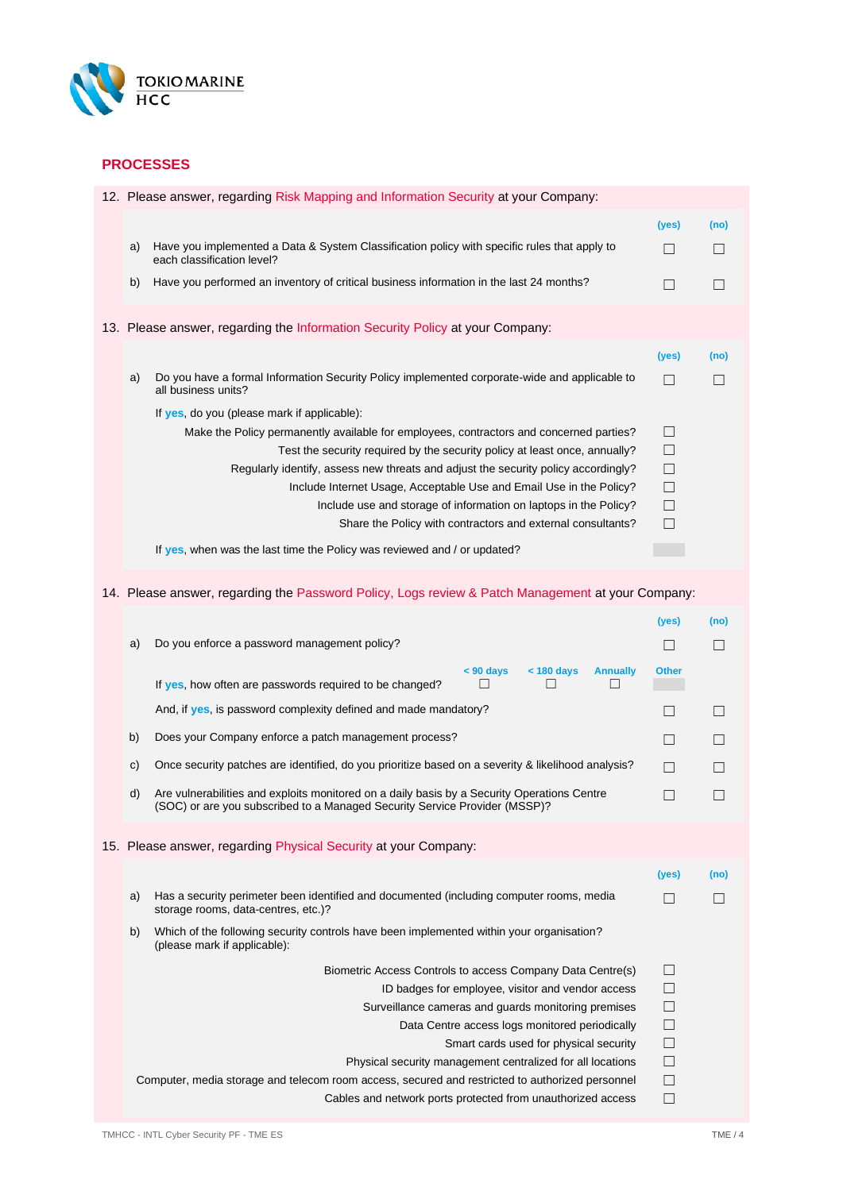

#### **PROCESSES**

|    | 12. Please answer, regarding Risk Mapping and Information Security at your Company:                                        |        |      |
|----|----------------------------------------------------------------------------------------------------------------------------|--------|------|
|    |                                                                                                                            | (yes)  | (no) |
| a) | Have you implemented a Data & System Classification policy with specific rules that apply to<br>each classification level? | П      |      |
| b) | Have you performed an inventory of critical business information in the last 24 months?                                    | П      |      |
|    | 13. Please answer, regarding the Information Security Policy at your Company:                                              |        |      |
|    |                                                                                                                            | (yes)  | (no) |
| a) | Do you have a formal Information Security Policy implemented corporate-wide and applicable to<br>all business units?       | П      | П    |
|    | If yes, do you (please mark if applicable):                                                                                |        |      |
|    | Make the Policy permanently available for employees, contractors and concerned parties?                                    | $\Box$ |      |
|    | Test the security required by the security policy at least once, annually?                                                 | П      |      |
|    | Regularly identify, assess new threats and adjust the security policy accordingly?                                         | $\Box$ |      |
|    | Include Internet Usage, Acceptable Use and Email Use in the Policy?                                                        | $\Box$ |      |
|    | Include use and storage of information on laptops in the Policy?                                                           | $\Box$ |      |
|    | Share the Policy with contractors and external consultants?                                                                | П      |      |
|    | If yes, when was the last time the Policy was reviewed and / or updated?                                                   |        |      |
|    | 14. Please answer, regarding the Password Policy, Logs review & Patch Management at your Company:                          |        |      |

|              |                                                                                                                                                                           | (yes)        | (no) |
|--------------|---------------------------------------------------------------------------------------------------------------------------------------------------------------------------|--------------|------|
| a)           | Do you enforce a password management policy?                                                                                                                              | П            |      |
|              | <b>Annually</b><br>$< 90$ days<br>$<$ 180 days<br>If yes, how often are passwords required to be changed?                                                                 | <b>Other</b> |      |
|              | And, if yes, is password complexity defined and made mandatory?                                                                                                           | Ш            |      |
| b)           | Does your Company enforce a patch management process?                                                                                                                     | П            |      |
| $\mathsf{C}$ | Once security patches are identified, do you prioritize based on a severity & likelihood analysis?                                                                        | П            |      |
| d)           | Are vulnerabilities and exploits monitored on a daily basis by a Security Operations Centre<br>(SOC) or are you subscribed to a Managed Security Service Provider (MSSP)? | П            |      |
|              | 15. Please answer, regarding Physical Security at your Company:                                                                                                           |              |      |
|              |                                                                                                                                                                           | (yes)        | (no) |
| a)           | Has a security perimeter been identified and documented (including computer rooms, media<br>storage rooms, data-centres, etc.)?                                           | $\Box$       |      |
| b)           | Which of the following security controls have been implemented within your organisation?<br>(please mark if applicable):                                                  |              |      |
|              | Biometric Access Controls to access Company Data Centre(s)                                                                                                                | $\Box$       |      |
|              | ID badges for employee, visitor and vendor access                                                                                                                         | $\Box$       |      |
|              | Surveillance cameras and guards monitoring premises                                                                                                                       | $\Box$       |      |
|              | Data Centre access logs monitored periodically                                                                                                                            | $\Box$       |      |
|              | Smart cards used for physical security                                                                                                                                    | $\Box$       |      |
|              | Physical security management centralized for all locations                                                                                                                | $\Box$       |      |
|              | Computer, media storage and telecom room access, secured and restricted to authorized personnel                                                                           | $\Box$       |      |
|              | Cables and network ports protected from unauthorized access                                                                                                               | $\Box$       |      |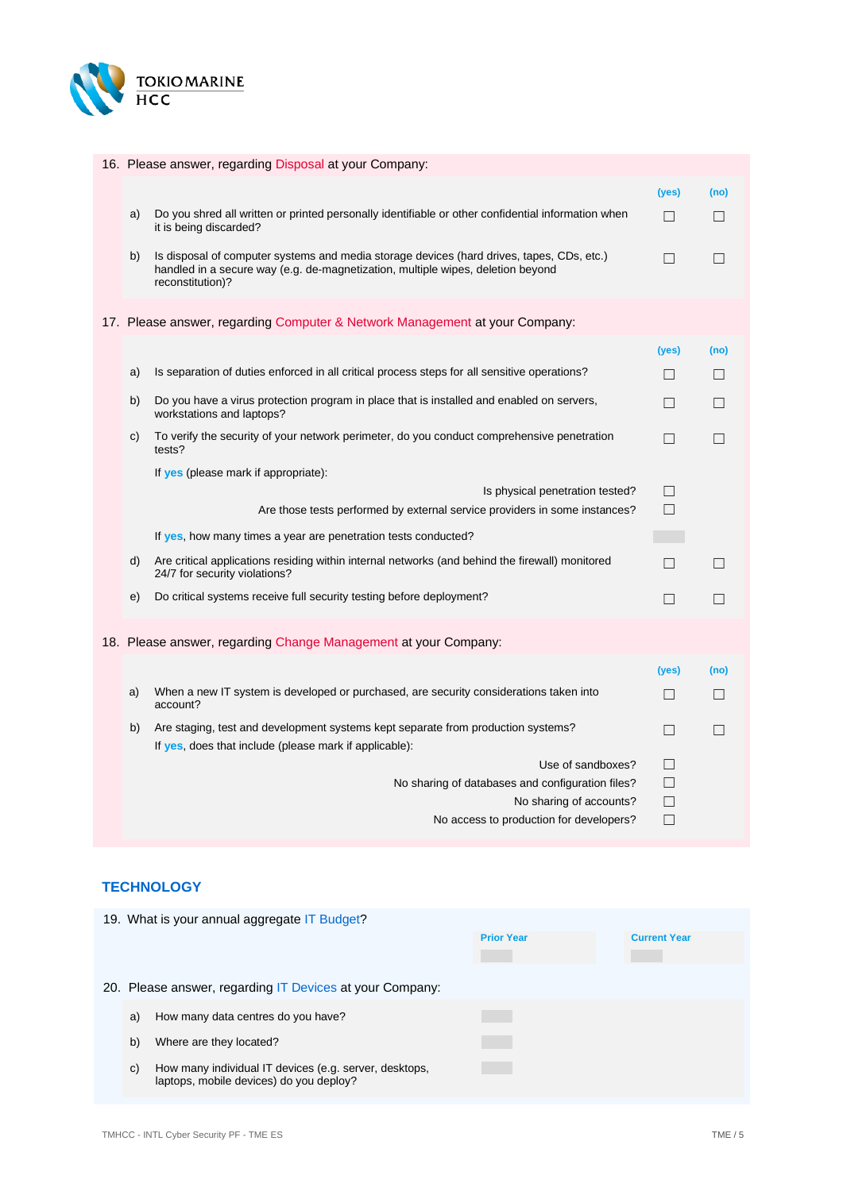

|    | 16. Please answer, regarding Disposal at your Company:                                                                                                                                           |                   |                   |
|----|--------------------------------------------------------------------------------------------------------------------------------------------------------------------------------------------------|-------------------|-------------------|
|    |                                                                                                                                                                                                  | (yes)             | (no)              |
| a) | Do you shred all written or printed personally identifiable or other confidential information when<br>it is being discarded?                                                                     | П                 | П                 |
| b) | Is disposal of computer systems and media storage devices (hard drives, tapes, CDs, etc.)<br>handled in a secure way (e.g. de-magnetization, multiple wipes, deletion beyond<br>reconstitution)? | П                 | $\Box$            |
|    | 17. Please answer, regarding Computer & Network Management at your Company:                                                                                                                      |                   |                   |
|    |                                                                                                                                                                                                  | (yes)             | (no)              |
| a) | Is separation of duties enforced in all critical process steps for all sensitive operations?                                                                                                     | П                 | П                 |
| b) | Do you have a virus protection program in place that is installed and enabled on servers,<br>workstations and laptops?                                                                           | П                 | $\Box$            |
| C) | To verify the security of your network perimeter, do you conduct comprehensive penetration<br>tests?                                                                                             | П                 | П                 |
|    | If yes (please mark if appropriate):                                                                                                                                                             |                   |                   |
|    | Is physical penetration tested?<br>Are those tests performed by external service providers in some instances?                                                                                    | П<br>П            |                   |
|    |                                                                                                                                                                                                  |                   |                   |
|    | If yes, how many times a year are penetration tests conducted?                                                                                                                                   |                   |                   |
| d) | Are critical applications residing within internal networks (and behind the firewall) monitored<br>24/7 for security violations?                                                                 | $\Box$            | $\Box$            |
| e) | Do critical systems receive full security testing before deployment?                                                                                                                             | $\Box$            | $\Box$            |
|    | 18. Please answer, regarding Change Management at your Company:                                                                                                                                  |                   |                   |
|    |                                                                                                                                                                                                  | (yes)             | (no)              |
| a) | When a new IT system is developed or purchased, are security considerations taken into<br>account?                                                                                               | $\Box$            | $\Box$            |
| b) | Are staging, test and development systems kept separate from production systems?<br>If yes, does that include (please mark if applicable):                                                       | $\vert \ \ \vert$ | $\vert \ \ \vert$ |
|    | Use of sandboxes?                                                                                                                                                                                | П                 |                   |
|    | No sharing of databases and configuration files?                                                                                                                                                 | П                 |                   |
|    | No sharing of accounts?                                                                                                                                                                          | $\Box$            |                   |
|    | No access to production for developers?                                                                                                                                                          | П                 |                   |

#### **TECHNOLOGY**

|    | 19. What is your annual aggregate IT Budget?                                                      |                   |                     |
|----|---------------------------------------------------------------------------------------------------|-------------------|---------------------|
|    |                                                                                                   | <b>Prior Year</b> | <b>Current Year</b> |
|    |                                                                                                   |                   |                     |
|    | 20. Please answer, regarding IT Devices at your Company:                                          |                   |                     |
| a) | How many data centres do you have?                                                                |                   |                     |
| b) | Where are they located?                                                                           |                   |                     |
| C) | How many individual IT devices (e.g. server, desktops,<br>laptops, mobile devices) do you deploy? |                   |                     |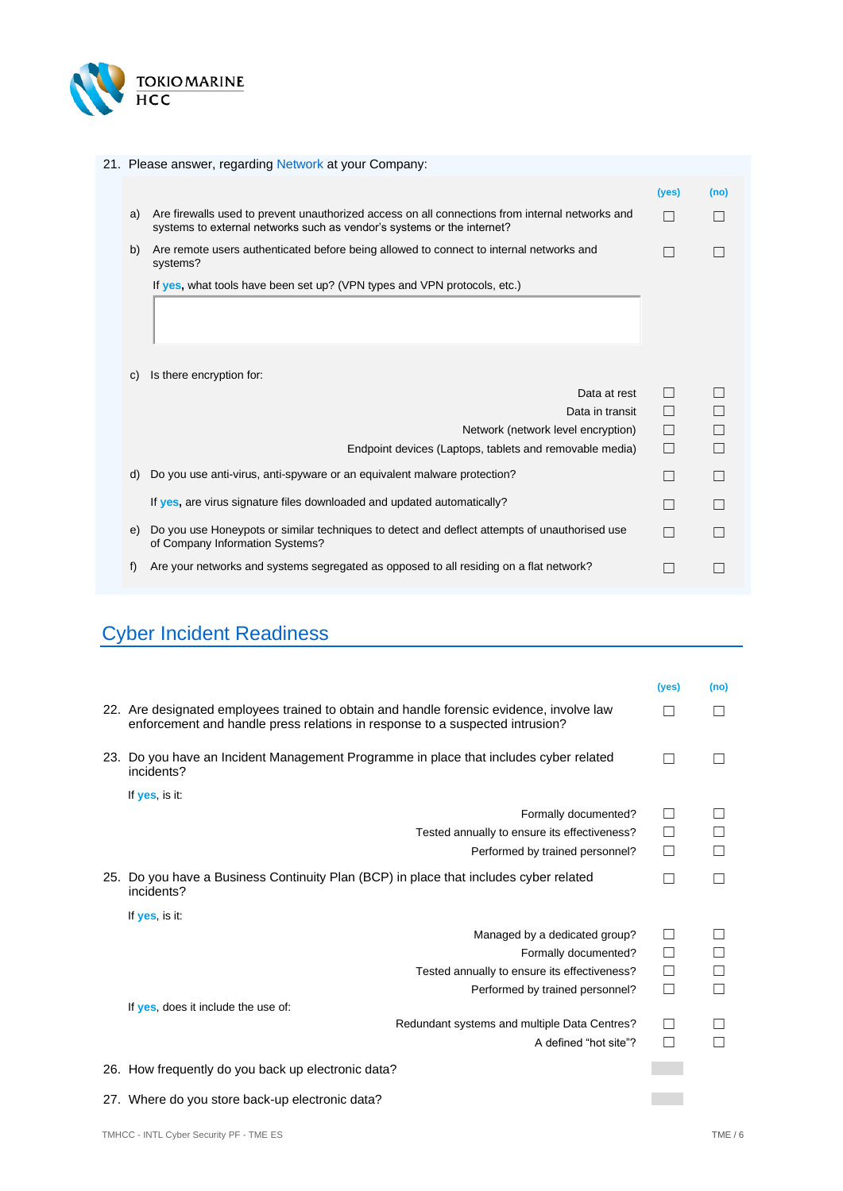

#### 21. Please answer, regarding Network at your Company:

|    |                                                                                                                                                                           | (yes) | (no) |
|----|---------------------------------------------------------------------------------------------------------------------------------------------------------------------------|-------|------|
| a) | Are firewalls used to prevent unauthorized access on all connections from internal networks and<br>systems to external networks such as vendor's systems or the internet? |       |      |
| b) | Are remote users authenticated before being allowed to connect to internal networks and<br>systems?                                                                       | - 1   |      |
|    | If yes, what tools have been set up? (VPN types and VPN protocols, etc.)                                                                                                  |       |      |
|    |                                                                                                                                                                           |       |      |
| C) | Is there encryption for:                                                                                                                                                  |       |      |
|    | Data at rest                                                                                                                                                              |       |      |
|    | Data in transit                                                                                                                                                           |       |      |
|    | Network (network level encryption)                                                                                                                                        |       |      |
|    | Endpoint devices (Laptops, tablets and removable media)                                                                                                                   |       | П    |
| d) | Do you use anti-virus, anti-spyware or an equivalent malware protection?                                                                                                  |       |      |
|    | If yes, are virus signature files downloaded and updated automatically?                                                                                                   |       |      |
| e) | Do you use Honeypots or similar techniques to detect and deflect attempts of unauthorised use<br>of Company Information Systems?                                          |       |      |
| f) | Are your networks and systems segregated as opposed to all residing on a flat network?                                                                                    |       |      |

# Cyber Incident Readiness

|                                                                                                                                                                          | (yes)  | (no) |
|--------------------------------------------------------------------------------------------------------------------------------------------------------------------------|--------|------|
| 22. Are designated employees trained to obtain and handle forensic evidence, involve law<br>enforcement and handle press relations in response to a suspected intrusion? |        |      |
| 23. Do you have an Incident Management Programme in place that includes cyber related<br>incidents?                                                                      |        |      |
| If yes, is it:                                                                                                                                                           |        |      |
| Formally documented?                                                                                                                                                     |        |      |
| Tested annually to ensure its effectiveness?                                                                                                                             | П      |      |
| Performed by trained personnel?                                                                                                                                          | $\Box$ |      |
| 25. Do you have a Business Continuity Plan (BCP) in place that includes cyber related<br>incidents?                                                                      |        |      |
| If yes, is it:                                                                                                                                                           |        |      |
| Managed by a dedicated group?                                                                                                                                            | П      |      |
| Formally documented?                                                                                                                                                     | ப      |      |
| Tested annually to ensure its effectiveness?                                                                                                                             | П      |      |
| Performed by trained personnel?                                                                                                                                          | $\Box$ |      |
| If yes, does it include the use of:                                                                                                                                      |        |      |
| Redundant systems and multiple Data Centres?                                                                                                                             | П      |      |
| A defined "hot site"?                                                                                                                                                    | П      |      |
| 26. How frequently do you back up electronic data?                                                                                                                       |        |      |
| 27. Where do you store back-up electronic data?                                                                                                                          |        |      |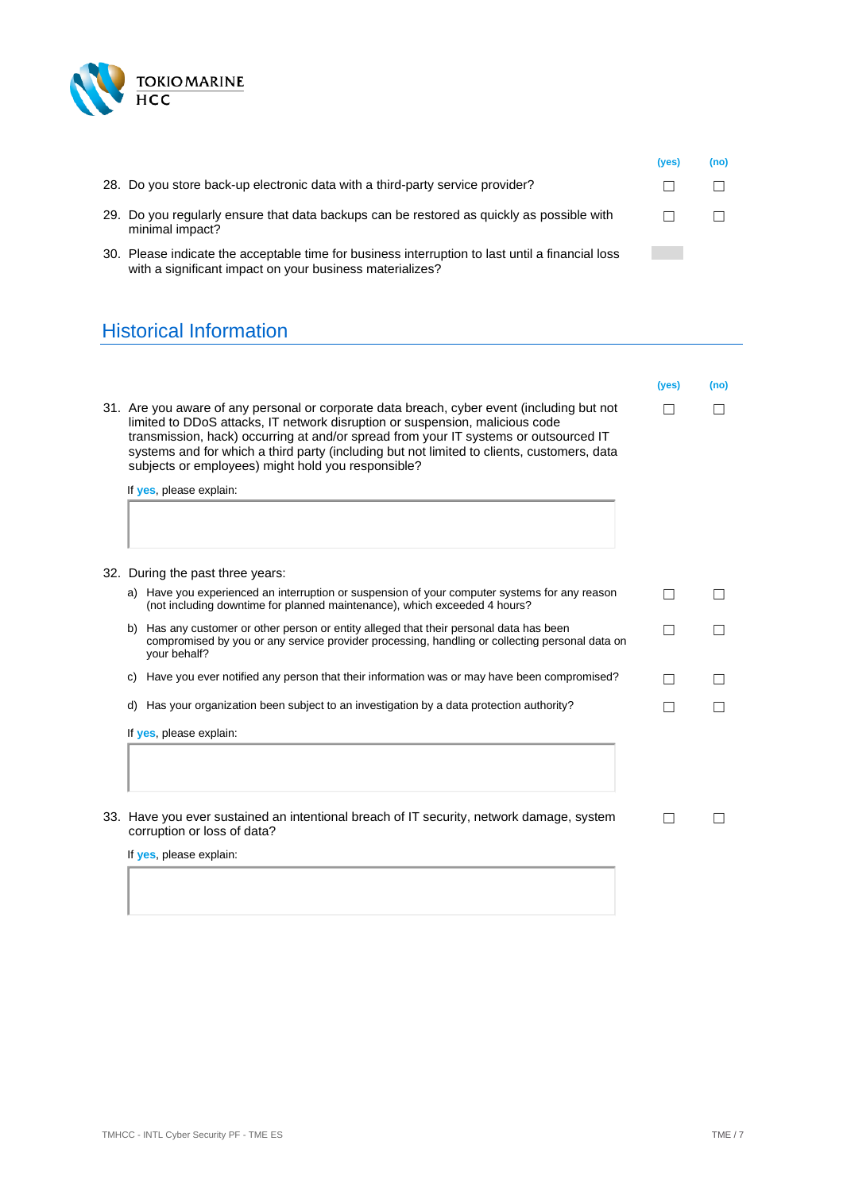

|                                                                                                                                                              | (yes) | (no) |
|--------------------------------------------------------------------------------------------------------------------------------------------------------------|-------|------|
| 28. Do you store back-up electronic data with a third-party service provider?                                                                                |       |      |
| 29. Do you regularly ensure that data backups can be restored as quickly as possible with<br>minimal impact?                                                 |       |      |
| 30. Please indicate the acceptable time for business interruption to last until a financial loss<br>with a significant impact on your business materializes? |       |      |

# Historical Information

|                                                                                                                                                                                                                                                                                                                                                                                                                        | (yes) | (no) |
|------------------------------------------------------------------------------------------------------------------------------------------------------------------------------------------------------------------------------------------------------------------------------------------------------------------------------------------------------------------------------------------------------------------------|-------|------|
| 31. Are you aware of any personal or corporate data breach, cyber event (including but not<br>limited to DDoS attacks, IT network disruption or suspension, malicious code<br>transmission, hack) occurring at and/or spread from your IT systems or outsourced IT<br>systems and for which a third party (including but not limited to clients, customers, data<br>subjects or employees) might hold you responsible? |       |      |
| If yes, please explain:                                                                                                                                                                                                                                                                                                                                                                                                |       |      |
|                                                                                                                                                                                                                                                                                                                                                                                                                        |       |      |
| 32. During the past three years:                                                                                                                                                                                                                                                                                                                                                                                       |       |      |
| a) Have you experienced an interruption or suspension of your computer systems for any reason<br>(not including downtime for planned maintenance), which exceeded 4 hours?                                                                                                                                                                                                                                             | - 1   |      |
| b) Has any customer or other person or entity alleged that their personal data has been<br>compromised by you or any service provider processing, handling or collecting personal data on<br>your behalf?                                                                                                                                                                                                              |       |      |
| c) Have you ever notified any person that their information was or may have been compromised?                                                                                                                                                                                                                                                                                                                          |       |      |
| Has your organization been subject to an investigation by a data protection authority?<br>d)                                                                                                                                                                                                                                                                                                                           |       |      |
| If yes, please explain:                                                                                                                                                                                                                                                                                                                                                                                                |       |      |
|                                                                                                                                                                                                                                                                                                                                                                                                                        |       |      |
| 33. Have you ever sustained an intentional breach of IT security, network damage, system<br>corruption or loss of data?                                                                                                                                                                                                                                                                                                |       |      |
| If <b>yes</b> , please explain:                                                                                                                                                                                                                                                                                                                                                                                        |       |      |
|                                                                                                                                                                                                                                                                                                                                                                                                                        |       |      |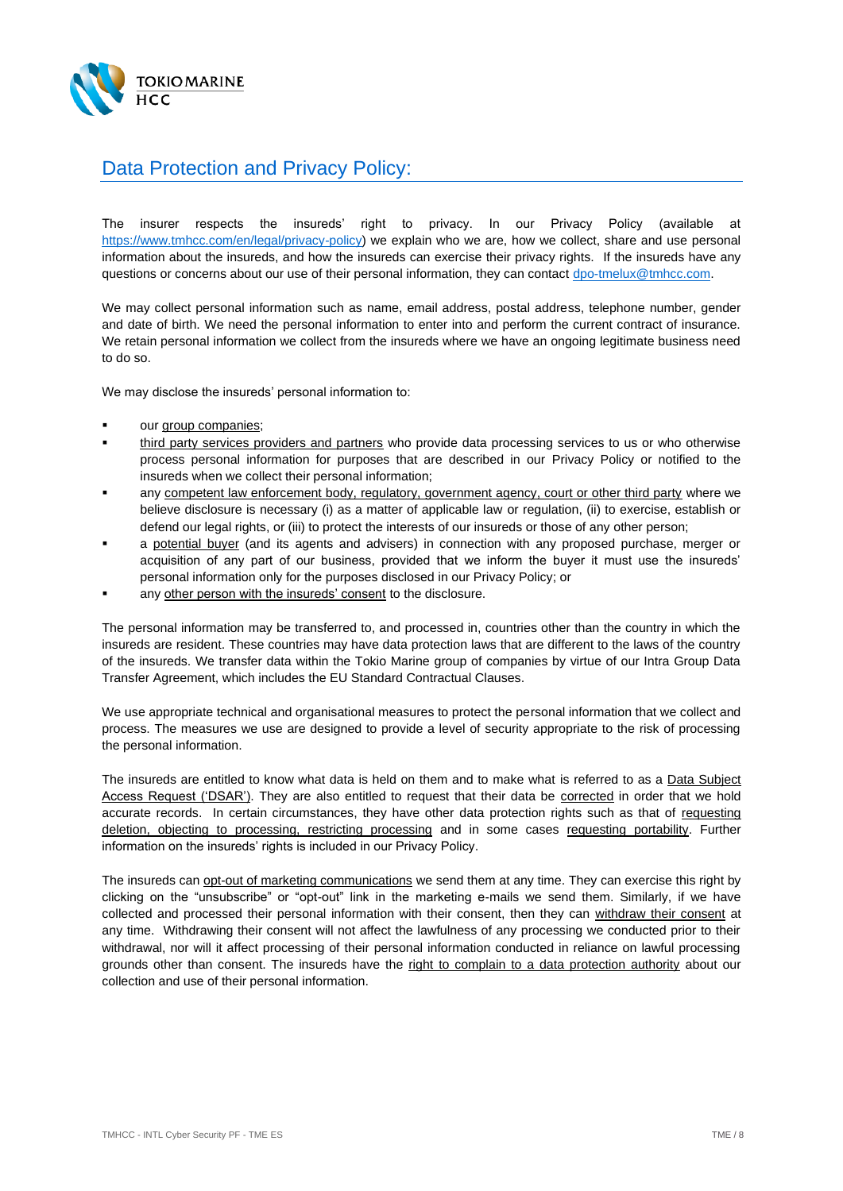

## Data Protection and Privacy Policy:

The insurer respects the insureds' right to privacy. In our Privacy Policy (available at [https://www.tmhcc.com/en/legal/privacy-policy\)](https://www.tmhcc.com/en/legal/privacy-policy) we explain who we are, how we collect, share and use personal information about the insureds, and how the insureds can exercise their privacy rights. If the insureds have any questions or concerns about our use of their personal information, they can contac[t dpo-tmelux@tmhcc.com.](mailto:dpo-tmelux@tmhcc.com)

We may collect personal information such as name, email address, postal address, telephone number, gender and date of birth. We need the personal information to enter into and perform the current contract of insurance. We retain personal information we collect from the insureds where we have an ongoing legitimate business need to do so.

We may disclose the insureds' personal information to:

- our group companies;
- third party services providers and partners who provide data processing services to us or who otherwise process personal information for purposes that are described in our Privacy Policy or notified to the insureds when we collect their personal information;
- any competent law enforcement body, regulatory, government agency, court or other third party where we believe disclosure is necessary (i) as a matter of applicable law or regulation, (ii) to exercise, establish or defend our legal rights, or (iii) to protect the interests of our insureds or those of any other person;
- a potential buyer (and its agents and advisers) in connection with any proposed purchase, merger or acquisition of any part of our business, provided that we inform the buyer it must use the insureds' personal information only for the purposes disclosed in our Privacy Policy; or
- any other person with the insureds' consent to the disclosure.

The personal information may be transferred to, and processed in, countries other than the country in which the insureds are resident. These countries may have data protection laws that are different to the laws of the country of the insureds. We transfer data within the Tokio Marine group of companies by virtue of our Intra Group Data Transfer Agreement, which includes the EU Standard Contractual Clauses.

We use appropriate technical and organisational measures to protect the personal information that we collect and process. The measures we use are designed to provide a level of security appropriate to the risk of processing the personal information.

The insureds are entitled to know what data is held on them and to make what is referred to as a Data Subject Access Request ('DSAR'). They are also entitled to request that their data be corrected in order that we hold accurate records. In certain circumstances, they have other data protection rights such as that of requesting deletion, objecting to processing, restricting processing and in some cases requesting portability. Further information on the insureds' rights is included in our Privacy Policy.

The insureds can opt-out of marketing communications we send them at any time. They can exercise this right by clicking on the "unsubscribe" or "opt-out" link in the marketing e-mails we send them. Similarly, if we have collected and processed their personal information with their consent, then they can withdraw their consent at any time. Withdrawing their consent will not affect the lawfulness of any processing we conducted prior to their withdrawal, nor will it affect processing of their personal information conducted in reliance on lawful processing grounds other than consent. The insureds have the right to complain to a data protection authority about our collection and use of their personal information.